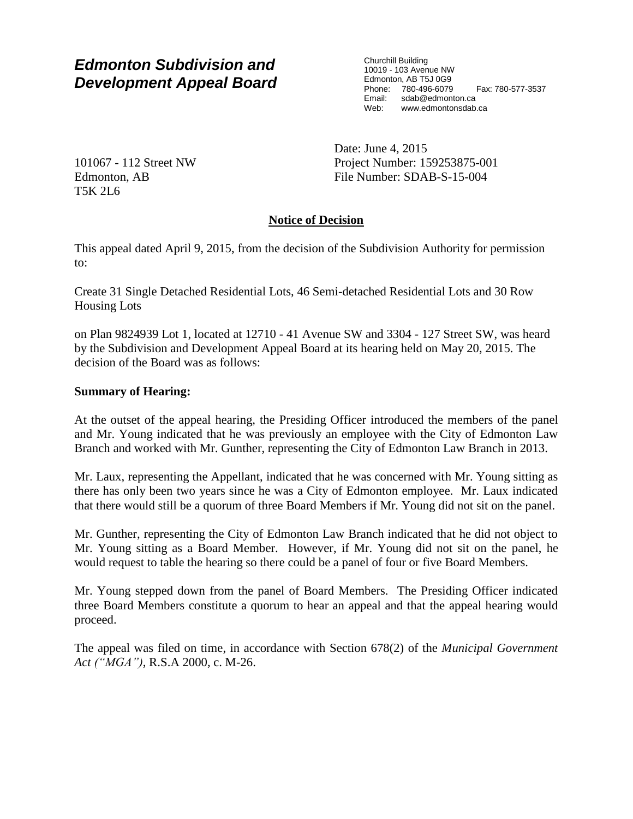# *Edmonton Subdivision and Development Appeal Board*

Churchill Building 10019 - 103 Avenue NW Edmonton, AB T5J 0G9 Phone: 780-496-6079 Fax: 780-577-3537 Email: sdab@edmonton.ca Web: www.edmontonsdab.ca

101067 - 112 Street NW Edmonton, AB T5K 2L6

Date: June 4, 2015 Project Number: 159253875-001 File Number: SDAB-S-15-004

## **Notice of Decision**

This appeal dated April 9, 2015, from the decision of the Subdivision Authority for permission to:

Create 31 Single Detached Residential Lots, 46 Semi-detached Residential Lots and 30 Row Housing Lots

on Plan 9824939 Lot 1, located at 12710 - 41 Avenue SW and 3304 - 127 Street SW, was heard by the Subdivision and Development Appeal Board at its hearing held on May 20, 2015. The decision of the Board was as follows:

### **Summary of Hearing:**

At the outset of the appeal hearing, the Presiding Officer introduced the members of the panel and Mr. Young indicated that he was previously an employee with the City of Edmonton Law Branch and worked with Mr. Gunther, representing the City of Edmonton Law Branch in 2013.

Mr. Laux, representing the Appellant, indicated that he was concerned with Mr. Young sitting as there has only been two years since he was a City of Edmonton employee. Mr. Laux indicated that there would still be a quorum of three Board Members if Mr. Young did not sit on the panel.

Mr. Gunther, representing the City of Edmonton Law Branch indicated that he did not object to Mr. Young sitting as a Board Member. However, if Mr. Young did not sit on the panel, he would request to table the hearing so there could be a panel of four or five Board Members.

Mr. Young stepped down from the panel of Board Members. The Presiding Officer indicated three Board Members constitute a quorum to hear an appeal and that the appeal hearing would proceed.

The appeal was filed on time, in accordance with Section 678(2) of the *Municipal Government Act ("MGA")*, R.S.A 2000, c. M-26.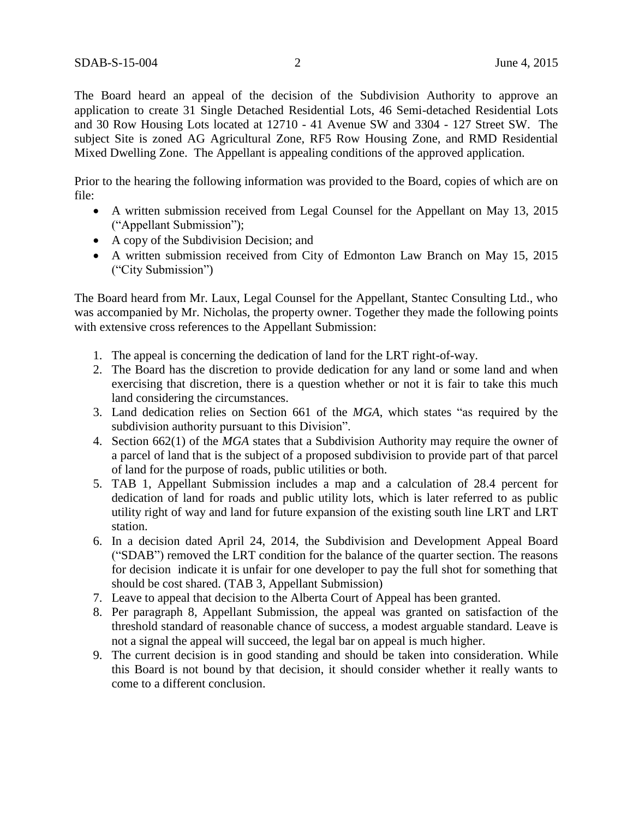The Board heard an appeal of the decision of the Subdivision Authority to approve an application to create 31 Single Detached Residential Lots, 46 Semi-detached Residential Lots and 30 Row Housing Lots located at 12710 - 41 Avenue SW and 3304 - 127 Street SW. The subject Site is zoned AG Agricultural Zone, RF5 Row Housing Zone, and RMD Residential Mixed Dwelling Zone. The Appellant is appealing conditions of the approved application.

Prior to the hearing the following information was provided to the Board, copies of which are on file:

- A written submission received from Legal Counsel for the Appellant on May 13, 2015 ("Appellant Submission");
- A copy of the Subdivision Decision; and
- A written submission received from City of Edmonton Law Branch on May 15, 2015 ("City Submission")

The Board heard from Mr. Laux, Legal Counsel for the Appellant, Stantec Consulting Ltd., who was accompanied by Mr. Nicholas, the property owner. Together they made the following points with extensive cross references to the Appellant Submission:

- 1. The appeal is concerning the dedication of land for the LRT right-of-way.
- 2. The Board has the discretion to provide dedication for any land or some land and when exercising that discretion, there is a question whether or not it is fair to take this much land considering the circumstances.
- 3. Land dedication relies on Section 661 of the *MGA*, which states "as required by the subdivision authority pursuant to this Division".
- 4. Section 662(1) of the *MGA* states that a Subdivision Authority may require the owner of a parcel of land that is the subject of a proposed subdivision to provide part of that parcel of land for the purpose of roads, public utilities or both.
- 5. TAB 1, Appellant Submission includes a map and a calculation of 28.4 percent for dedication of land for roads and public utility lots, which is later referred to as public utility right of way and land for future expansion of the existing south line LRT and LRT station.
- 6. In a decision dated April 24, 2014, the Subdivision and Development Appeal Board ("SDAB") removed the LRT condition for the balance of the quarter section. The reasons for decision indicate it is unfair for one developer to pay the full shot for something that should be cost shared. (TAB 3, Appellant Submission)
- 7. Leave to appeal that decision to the Alberta Court of Appeal has been granted.
- 8. Per paragraph 8, Appellant Submission, the appeal was granted on satisfaction of the threshold standard of reasonable chance of success, a modest arguable standard. Leave is not a signal the appeal will succeed, the legal bar on appeal is much higher.
- 9. The current decision is in good standing and should be taken into consideration. While this Board is not bound by that decision, it should consider whether it really wants to come to a different conclusion.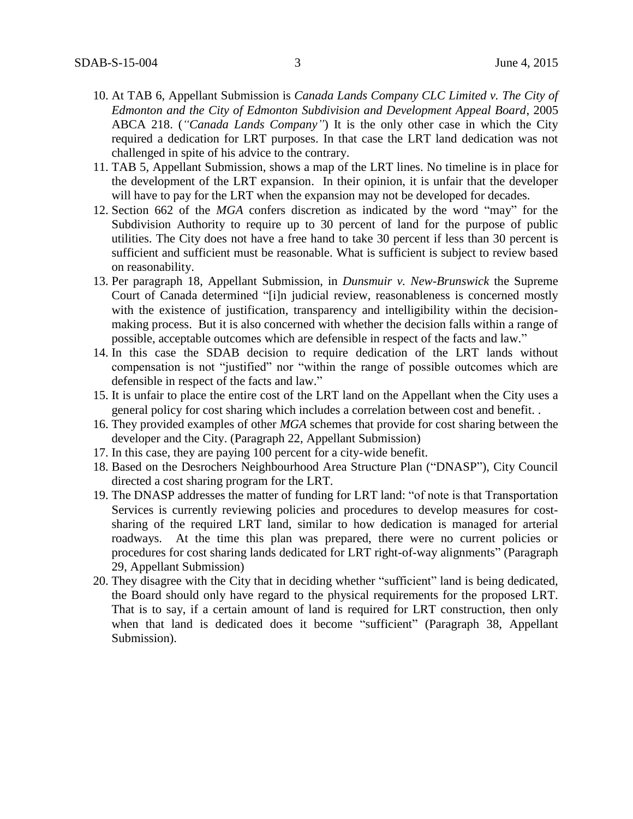- 10. At TAB 6, Appellant Submission is *Canada Lands Company CLC Limited v. The City of Edmonton and the City of Edmonton Subdivision and Development Appeal Board*, 2005 ABCA 218. (*"Canada Lands Company"*) It is the only other case in which the City required a dedication for LRT purposes. In that case the LRT land dedication was not challenged in spite of his advice to the contrary.
- 11. TAB 5, Appellant Submission, shows a map of the LRT lines. No timeline is in place for the development of the LRT expansion. In their opinion, it is unfair that the developer will have to pay for the LRT when the expansion may not be developed for decades.
- 12. Section 662 of the *MGA* confers discretion as indicated by the word "may" for the Subdivision Authority to require up to 30 percent of land for the purpose of public utilities. The City does not have a free hand to take 30 percent if less than 30 percent is sufficient and sufficient must be reasonable. What is sufficient is subject to review based on reasonability.
- 13. Per paragraph 18, Appellant Submission, in *Dunsmuir v. New-Brunswick* the Supreme Court of Canada determined "[i]n judicial review, reasonableness is concerned mostly with the existence of justification, transparency and intelligibility within the decisionmaking process. But it is also concerned with whether the decision falls within a range of possible, acceptable outcomes which are defensible in respect of the facts and law."
- 14. In this case the SDAB decision to require dedication of the LRT lands without compensation is not "justified" nor "within the range of possible outcomes which are defensible in respect of the facts and law."
- 15. It is unfair to place the entire cost of the LRT land on the Appellant when the City uses a general policy for cost sharing which includes a correlation between cost and benefit. .
- 16. They provided examples of other *MGA* schemes that provide for cost sharing between the developer and the City. (Paragraph 22, Appellant Submission)
- 17. In this case, they are paying 100 percent for a city-wide benefit.
- 18. Based on the Desrochers Neighbourhood Area Structure Plan ("DNASP"), City Council directed a cost sharing program for the LRT.
- 19. The DNASP addresses the matter of funding for LRT land: "of note is that Transportation Services is currently reviewing policies and procedures to develop measures for costsharing of the required LRT land, similar to how dedication is managed for arterial roadways. At the time this plan was prepared, there were no current policies or procedures for cost sharing lands dedicated for LRT right-of-way alignments" (Paragraph 29, Appellant Submission)
- 20. They disagree with the City that in deciding whether "sufficient" land is being dedicated, the Board should only have regard to the physical requirements for the proposed LRT. That is to say, if a certain amount of land is required for LRT construction, then only when that land is dedicated does it become "sufficient" (Paragraph 38, Appellant Submission).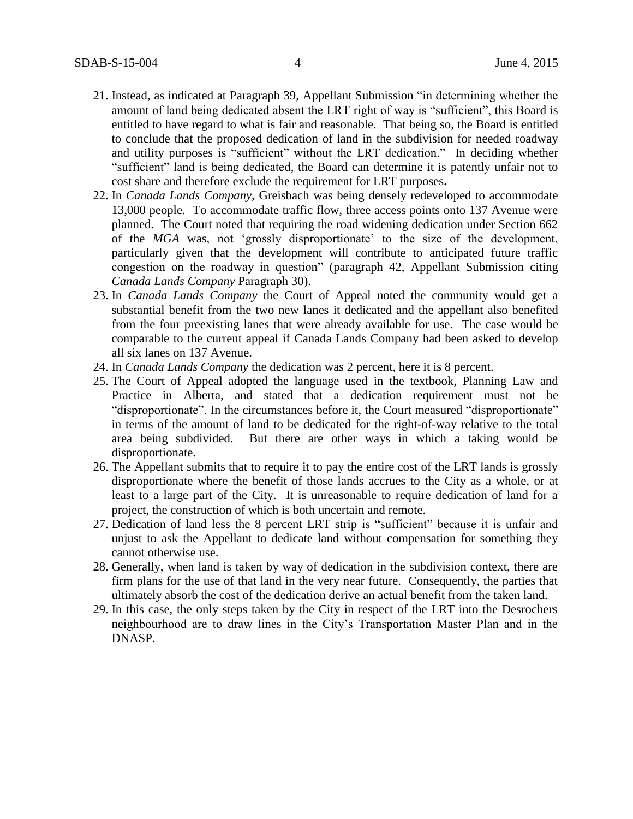- 21. Instead, as indicated at Paragraph 39, Appellant Submission "in determining whether the amount of land being dedicated absent the LRT right of way is "sufficient", this Board is entitled to have regard to what is fair and reasonable. That being so, the Board is entitled to conclude that the proposed dedication of land in the subdivision for needed roadway and utility purposes is "sufficient" without the LRT dedication." In deciding whether "sufficient" land is being dedicated, the Board can determine it is patently unfair not to cost share and therefore exclude the requirement for LRT purposes**.**
- 22. In *Canada Lands Company*, Greisbach was being densely redeveloped to accommodate 13,000 people. To accommodate traffic flow, three access points onto 137 Avenue were planned. The Court noted that requiring the road widening dedication under Section 662 of the *MGA* was, not 'grossly disproportionate' to the size of the development, particularly given that the development will contribute to anticipated future traffic congestion on the roadway in question" (paragraph 42, Appellant Submission citing *Canada Lands Company* Paragraph 30).
- 23. In *Canada Lands Company* the Court of Appeal noted the community would get a substantial benefit from the two new lanes it dedicated and the appellant also benefited from the four preexisting lanes that were already available for use. The case would be comparable to the current appeal if Canada Lands Company had been asked to develop all six lanes on 137 Avenue.
- 24. In *Canada Lands Company* the dedication was 2 percent, here it is 8 percent.
- 25. The Court of Appeal adopted the language used in the textbook, Planning Law and Practice in Alberta, and stated that a dedication requirement must not be "disproportionate". In the circumstances before it, the Court measured "disproportionate" in terms of the amount of land to be dedicated for the right-of-way relative to the total area being subdivided. But there are other ways in which a taking would be disproportionate.
- 26. The Appellant submits that to require it to pay the entire cost of the LRT lands is grossly disproportionate where the benefit of those lands accrues to the City as a whole, or at least to a large part of the City. It is unreasonable to require dedication of land for a project, the construction of which is both uncertain and remote.
- 27. Dedication of land less the 8 percent LRT strip is "sufficient" because it is unfair and unjust to ask the Appellant to dedicate land without compensation for something they cannot otherwise use.
- 28. Generally, when land is taken by way of dedication in the subdivision context, there are firm plans for the use of that land in the very near future. Consequently, the parties that ultimately absorb the cost of the dedication derive an actual benefit from the taken land.
- 29. In this case, the only steps taken by the City in respect of the LRT into the Desrochers neighbourhood are to draw lines in the City's Transportation Master Plan and in the DNASP.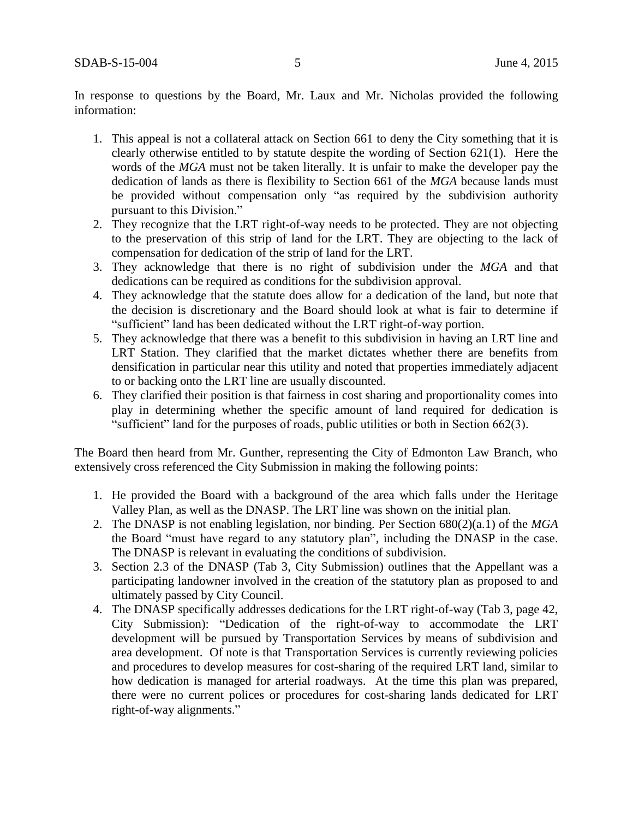In response to questions by the Board, Mr. Laux and Mr. Nicholas provided the following information:

- 1. This appeal is not a collateral attack on Section 661 to deny the City something that it is clearly otherwise entitled to by statute despite the wording of Section 621(1). Here the words of the *MGA* must not be taken literally. It is unfair to make the developer pay the dedication of lands as there is flexibility to Section 661 of the *MGA* because lands must be provided without compensation only "as required by the subdivision authority pursuant to this Division."
- 2. They recognize that the LRT right-of-way needs to be protected. They are not objecting to the preservation of this strip of land for the LRT. They are objecting to the lack of compensation for dedication of the strip of land for the LRT.
- 3. They acknowledge that there is no right of subdivision under the *MGA* and that dedications can be required as conditions for the subdivision approval.
- 4. They acknowledge that the statute does allow for a dedication of the land, but note that the decision is discretionary and the Board should look at what is fair to determine if "sufficient" land has been dedicated without the LRT right-of-way portion.
- 5. They acknowledge that there was a benefit to this subdivision in having an LRT line and LRT Station. They clarified that the market dictates whether there are benefits from densification in particular near this utility and noted that properties immediately adjacent to or backing onto the LRT line are usually discounted.
- 6. They clarified their position is that fairness in cost sharing and proportionality comes into play in determining whether the specific amount of land required for dedication is "sufficient" land for the purposes of roads, public utilities or both in Section 662(3).

The Board then heard from Mr. Gunther, representing the City of Edmonton Law Branch, who extensively cross referenced the City Submission in making the following points:

- 1. He provided the Board with a background of the area which falls under the Heritage Valley Plan, as well as the DNASP. The LRT line was shown on the initial plan.
- 2. The DNASP is not enabling legislation, nor binding. Per Section 680(2)(a.1) of the *MGA* the Board "must have regard to any statutory plan", including the DNASP in the case. The DNASP is relevant in evaluating the conditions of subdivision.
- 3. Section 2.3 of the DNASP (Tab 3, City Submission) outlines that the Appellant was a participating landowner involved in the creation of the statutory plan as proposed to and ultimately passed by City Council.
- 4. The DNASP specifically addresses dedications for the LRT right-of-way (Tab 3, page 42, City Submission): "Dedication of the right-of-way to accommodate the LRT development will be pursued by Transportation Services by means of subdivision and area development. Of note is that Transportation Services is currently reviewing policies and procedures to develop measures for cost-sharing of the required LRT land, similar to how dedication is managed for arterial roadways. At the time this plan was prepared, there were no current polices or procedures for cost-sharing lands dedicated for LRT right-of-way alignments."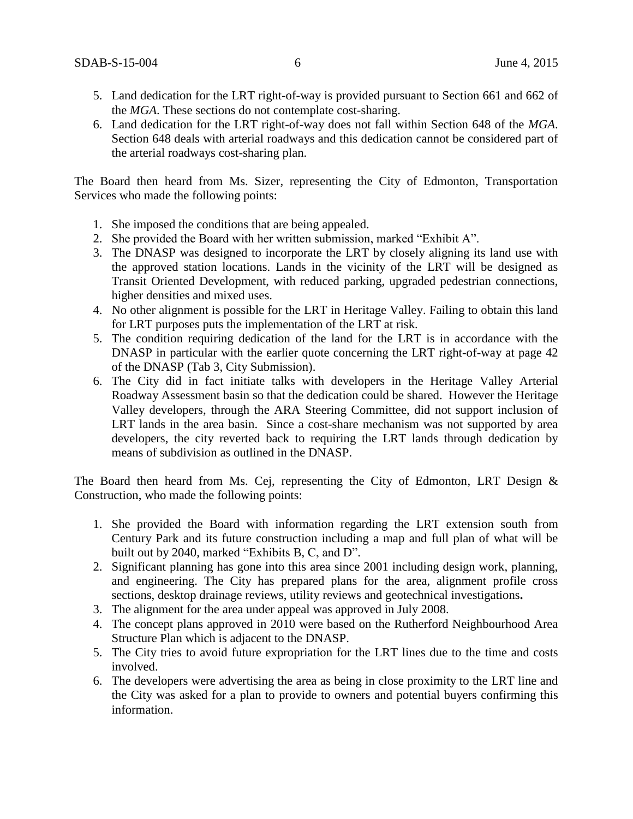- 5. Land dedication for the LRT right-of-way is provided pursuant to Section 661 and 662 of the *MGA*. These sections do not contemplate cost-sharing.
- 6. Land dedication for the LRT right-of-way does not fall within Section 648 of the *MGA*. Section 648 deals with arterial roadways and this dedication cannot be considered part of the arterial roadways cost-sharing plan.

The Board then heard from Ms. Sizer, representing the City of Edmonton, Transportation Services who made the following points:

- 1. She imposed the conditions that are being appealed.
- 2. She provided the Board with her written submission, marked "Exhibit A".
- 3. The DNASP was designed to incorporate the LRT by closely aligning its land use with the approved station locations. Lands in the vicinity of the LRT will be designed as Transit Oriented Development, with reduced parking, upgraded pedestrian connections, higher densities and mixed uses.
- 4. No other alignment is possible for the LRT in Heritage Valley. Failing to obtain this land for LRT purposes puts the implementation of the LRT at risk.
- 5. The condition requiring dedication of the land for the LRT is in accordance with the DNASP in particular with the earlier quote concerning the LRT right-of-way at page 42 of the DNASP (Tab 3, City Submission).
- 6. The City did in fact initiate talks with developers in the Heritage Valley Arterial Roadway Assessment basin so that the dedication could be shared. However the Heritage Valley developers, through the ARA Steering Committee, did not support inclusion of LRT lands in the area basin. Since a cost-share mechanism was not supported by area developers, the city reverted back to requiring the LRT lands through dedication by means of subdivision as outlined in the DNASP.

The Board then heard from Ms. Cej, representing the City of Edmonton, LRT Design & Construction, who made the following points:

- 1. She provided the Board with information regarding the LRT extension south from Century Park and its future construction including a map and full plan of what will be built out by 2040, marked "Exhibits B, C, and D".
- 2. Significant planning has gone into this area since 2001 including design work, planning, and engineering. The City has prepared plans for the area, alignment profile cross sections, desktop drainage reviews, utility reviews and geotechnical investigations**.**
- 3. The alignment for the area under appeal was approved in July 2008.
- 4. The concept plans approved in 2010 were based on the Rutherford Neighbourhood Area Structure Plan which is adjacent to the DNASP.
- 5. The City tries to avoid future expropriation for the LRT lines due to the time and costs involved.
- 6. The developers were advertising the area as being in close proximity to the LRT line and the City was asked for a plan to provide to owners and potential buyers confirming this information.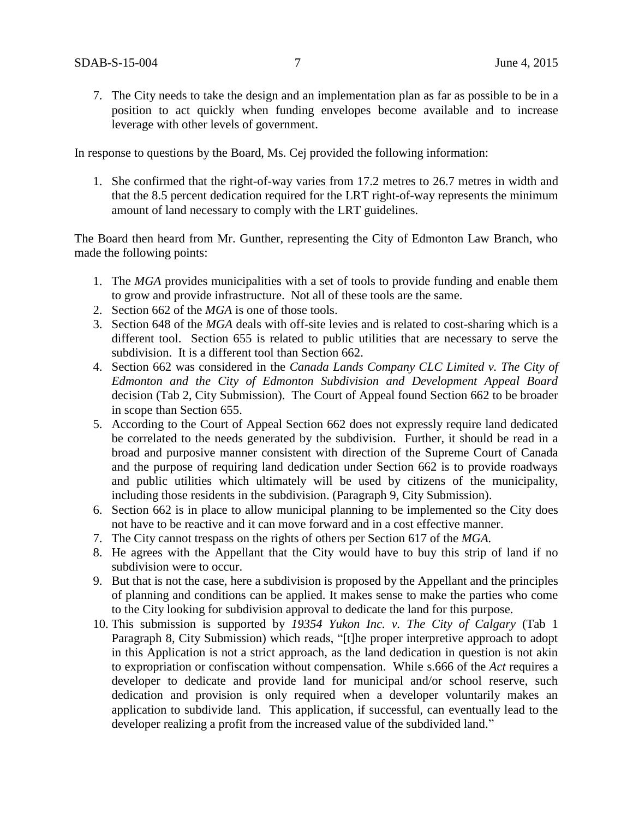7. The City needs to take the design and an implementation plan as far as possible to be in a position to act quickly when funding envelopes become available and to increase leverage with other levels of government.

In response to questions by the Board, Ms. Cej provided the following information:

1. She confirmed that the right-of-way varies from 17.2 metres to 26.7 metres in width and that the 8.5 percent dedication required for the LRT right-of-way represents the minimum amount of land necessary to comply with the LRT guidelines.

The Board then heard from Mr. Gunther, representing the City of Edmonton Law Branch, who made the following points:

- 1. The *MGA* provides municipalities with a set of tools to provide funding and enable them to grow and provide infrastructure. Not all of these tools are the same.
- 2. Section 662 of the *MGA* is one of those tools.
- 3. Section 648 of the *MGA* deals with off-site levies and is related to cost-sharing which is a different tool. Section 655 is related to public utilities that are necessary to serve the subdivision. It is a different tool than Section 662.
- 4. Section 662 was considered in the *Canada Lands Company CLC Limited v. The City of Edmonton and the City of Edmonton Subdivision and Development Appeal Board*  decision (Tab 2, City Submission). The Court of Appeal found Section 662 to be broader in scope than Section 655.
- 5. According to the Court of Appeal Section 662 does not expressly require land dedicated be correlated to the needs generated by the subdivision. Further, it should be read in a broad and purposive manner consistent with direction of the Supreme Court of Canada and the purpose of requiring land dedication under Section 662 is to provide roadways and public utilities which ultimately will be used by citizens of the municipality, including those residents in the subdivision. (Paragraph 9, City Submission).
- 6. Section 662 is in place to allow municipal planning to be implemented so the City does not have to be reactive and it can move forward and in a cost effective manner.
- 7. The City cannot trespass on the rights of others per Section 617 of the *MGA.*
- 8. He agrees with the Appellant that the City would have to buy this strip of land if no subdivision were to occur.
- 9. But that is not the case, here a subdivision is proposed by the Appellant and the principles of planning and conditions can be applied. It makes sense to make the parties who come to the City looking for subdivision approval to dedicate the land for this purpose.
- 10. This submission is supported by *19354 Yukon Inc. v. The City of Calgary* (Tab 1 Paragraph 8, City Submission) which reads, "[t]he proper interpretive approach to adopt in this Application is not a strict approach, as the land dedication in question is not akin to expropriation or confiscation without compensation. While s.666 of the *Act* requires a developer to dedicate and provide land for municipal and/or school reserve, such dedication and provision is only required when a developer voluntarily makes an application to subdivide land. This application, if successful, can eventually lead to the developer realizing a profit from the increased value of the subdivided land."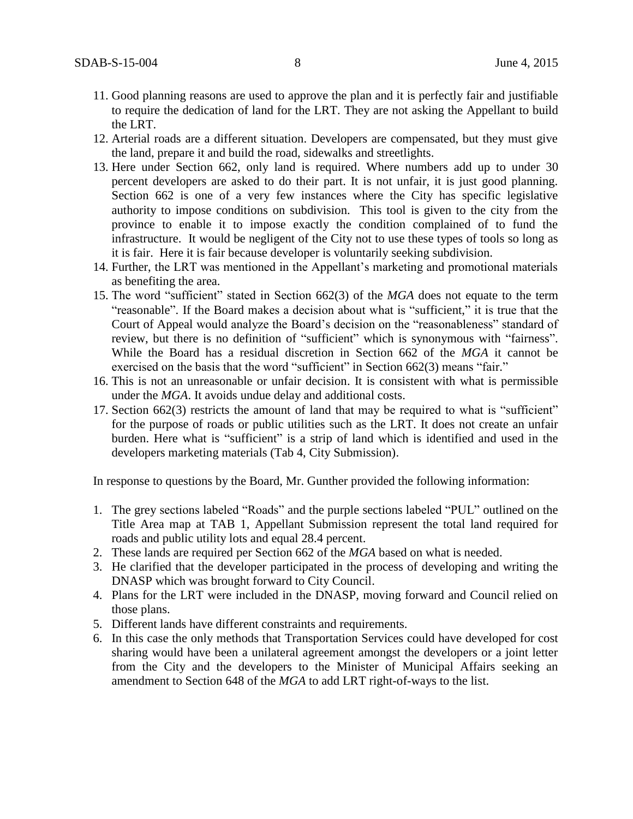- 11. Good planning reasons are used to approve the plan and it is perfectly fair and justifiable to require the dedication of land for the LRT. They are not asking the Appellant to build the LRT.
- 12. Arterial roads are a different situation. Developers are compensated, but they must give the land, prepare it and build the road, sidewalks and streetlights.
- 13. Here under Section 662, only land is required. Where numbers add up to under 30 percent developers are asked to do their part. It is not unfair, it is just good planning. Section 662 is one of a very few instances where the City has specific legislative authority to impose conditions on subdivision. This tool is given to the city from the province to enable it to impose exactly the condition complained of to fund the infrastructure. It would be negligent of the City not to use these types of tools so long as it is fair. Here it is fair because developer is voluntarily seeking subdivision.
- 14. Further, the LRT was mentioned in the Appellant's marketing and promotional materials as benefiting the area.
- 15. The word "sufficient" stated in Section 662(3) of the *MGA* does not equate to the term "reasonable". If the Board makes a decision about what is "sufficient," it is true that the Court of Appeal would analyze the Board's decision on the "reasonableness" standard of review, but there is no definition of "sufficient" which is synonymous with "fairness". While the Board has a residual discretion in Section 662 of the *MGA* it cannot be exercised on the basis that the word "sufficient" in Section 662(3) means "fair."
- 16. This is not an unreasonable or unfair decision. It is consistent with what is permissible under the *MGA*. It avoids undue delay and additional costs.
- 17. Section 662(3) restricts the amount of land that may be required to what is "sufficient" for the purpose of roads or public utilities such as the LRT. It does not create an unfair burden. Here what is "sufficient" is a strip of land which is identified and used in the developers marketing materials (Tab 4, City Submission).

In response to questions by the Board, Mr. Gunther provided the following information:

- 1. The grey sections labeled "Roads" and the purple sections labeled "PUL" outlined on the Title Area map at TAB 1, Appellant Submission represent the total land required for roads and public utility lots and equal 28.4 percent.
- 2. These lands are required per Section 662 of the *MGA* based on what is needed.
- 3. He clarified that the developer participated in the process of developing and writing the DNASP which was brought forward to City Council.
- 4. Plans for the LRT were included in the DNASP, moving forward and Council relied on those plans.
- 5. Different lands have different constraints and requirements.
- 6. In this case the only methods that Transportation Services could have developed for cost sharing would have been a unilateral agreement amongst the developers or a joint letter from the City and the developers to the Minister of Municipal Affairs seeking an amendment to Section 648 of the *MGA* to add LRT right-of-ways to the list.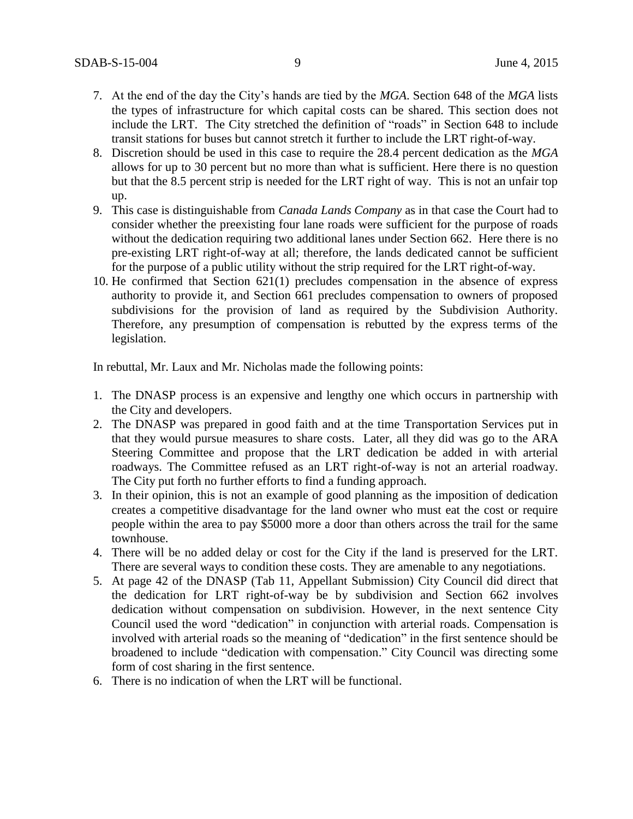- 7. At the end of the day the City's hands are tied by the *MGA*. Section 648 of the *MGA* lists the types of infrastructure for which capital costs can be shared. This section does not include the LRT. The City stretched the definition of "roads" in Section 648 to include transit stations for buses but cannot stretch it further to include the LRT right-of-way.
- 8. Discretion should be used in this case to require the 28.4 percent dedication as the *MGA* allows for up to 30 percent but no more than what is sufficient. Here there is no question but that the 8.5 percent strip is needed for the LRT right of way. This is not an unfair top up.
- 9. This case is distinguishable from *Canada Lands Company* as in that case the Court had to consider whether the preexisting four lane roads were sufficient for the purpose of roads without the dedication requiring two additional lanes under Section 662. Here there is no pre-existing LRT right-of-way at all; therefore, the lands dedicated cannot be sufficient for the purpose of a public utility without the strip required for the LRT right-of-way.
- 10. He confirmed that Section 621(1) precludes compensation in the absence of express authority to provide it, and Section 661 precludes compensation to owners of proposed subdivisions for the provision of land as required by the Subdivision Authority. Therefore, any presumption of compensation is rebutted by the express terms of the legislation.

In rebuttal, Mr. Laux and Mr. Nicholas made the following points:

- 1. The DNASP process is an expensive and lengthy one which occurs in partnership with the City and developers.
- 2. The DNASP was prepared in good faith and at the time Transportation Services put in that they would pursue measures to share costs. Later, all they did was go to the ARA Steering Committee and propose that the LRT dedication be added in with arterial roadways. The Committee refused as an LRT right-of-way is not an arterial roadway. The City put forth no further efforts to find a funding approach.
- 3. In their opinion, this is not an example of good planning as the imposition of dedication creates a competitive disadvantage for the land owner who must eat the cost or require people within the area to pay \$5000 more a door than others across the trail for the same townhouse.
- 4. There will be no added delay or cost for the City if the land is preserved for the LRT. There are several ways to condition these costs. They are amenable to any negotiations.
- 5. At page 42 of the DNASP (Tab 11, Appellant Submission) City Council did direct that the dedication for LRT right-of-way be by subdivision and Section 662 involves dedication without compensation on subdivision. However, in the next sentence City Council used the word "dedication" in conjunction with arterial roads. Compensation is involved with arterial roads so the meaning of "dedication" in the first sentence should be broadened to include "dedication with compensation." City Council was directing some form of cost sharing in the first sentence.
- 6. There is no indication of when the LRT will be functional.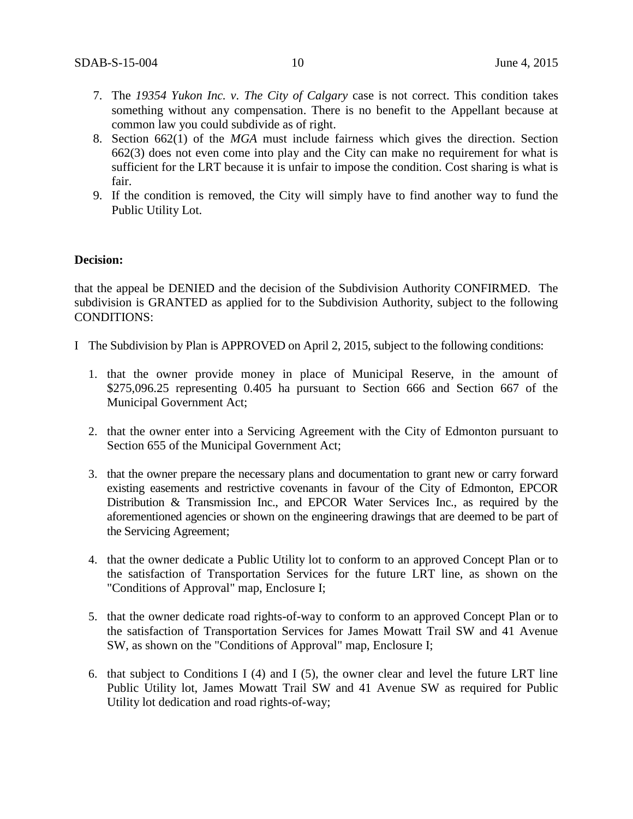- 7. The *19354 Yukon Inc. v. The City of Calgary* case is not correct. This condition takes something without any compensation. There is no benefit to the Appellant because at common law you could subdivide as of right.
- 8. Section 662(1) of the *MGA* must include fairness which gives the direction. Section 662(3) does not even come into play and the City can make no requirement for what is sufficient for the LRT because it is unfair to impose the condition. Cost sharing is what is fair.
- 9. If the condition is removed, the City will simply have to find another way to fund the Public Utility Lot.

#### **Decision:**

that the appeal be DENIED and the decision of the Subdivision Authority CONFIRMED. The subdivision is GRANTED as applied for to the Subdivision Authority, subject to the following CONDITIONS:

- I The Subdivision by Plan is APPROVED on April 2, 2015, subject to the following conditions:
	- 1. that the owner provide money in place of Municipal Reserve, in the amount of \$275,096.25 representing 0.405 ha pursuant to Section 666 and Section 667 of the Municipal Government Act;
	- 2. that the owner enter into a Servicing Agreement with the City of Edmonton pursuant to Section 655 of the Municipal Government Act;
	- 3. that the owner prepare the necessary plans and documentation to grant new or carry forward existing easements and restrictive covenants in favour of the City of Edmonton, EPCOR Distribution & Transmission Inc., and EPCOR Water Services Inc., as required by the aforementioned agencies or shown on the engineering drawings that are deemed to be part of the Servicing Agreement;
	- 4. that the owner dedicate a Public Utility lot to conform to an approved Concept Plan or to the satisfaction of Transportation Services for the future LRT line, as shown on the "Conditions of Approval" map, Enclosure I;
	- 5. that the owner dedicate road rights-of-way to conform to an approved Concept Plan or to the satisfaction of Transportation Services for James Mowatt Trail SW and 41 Avenue SW, as shown on the "Conditions of Approval" map, Enclosure I;
	- 6. that subject to Conditions I (4) and I (5), the owner clear and level the future LRT line Public Utility lot, James Mowatt Trail SW and 41 Avenue SW as required for Public Utility lot dedication and road rights-of-way;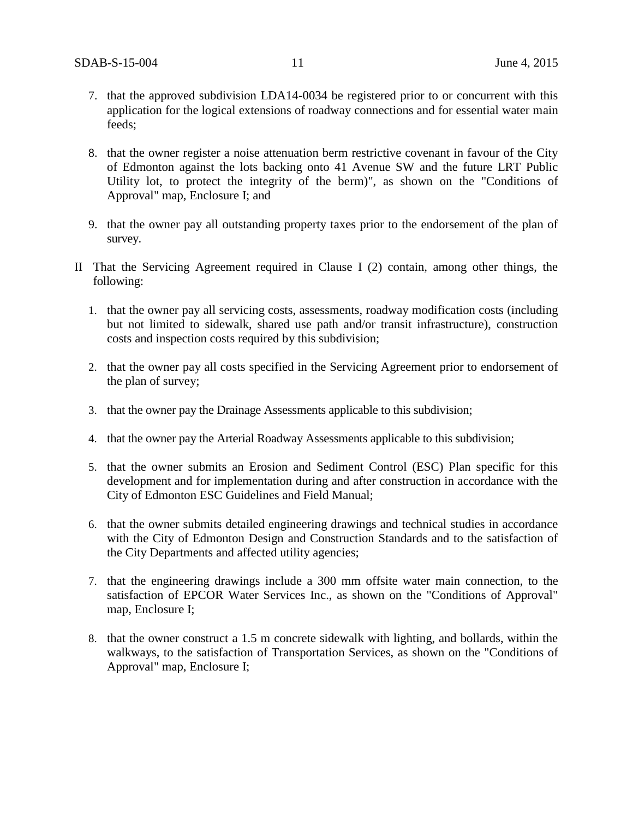- 7. that the approved subdivision LDA14-0034 be registered prior to or concurrent with this application for the logical extensions of roadway connections and for essential water main feeds;
- 8. that the owner register a noise attenuation berm restrictive covenant in favour of the City of Edmonton against the lots backing onto 41 Avenue SW and the future LRT Public Utility lot, to protect the integrity of the berm)", as shown on the "Conditions of Approval" map, Enclosure I; and
- 9. that the owner pay all outstanding property taxes prior to the endorsement of the plan of survey.
- II That the Servicing Agreement required in Clause I (2) contain, among other things, the following:
	- 1. that the owner pay all servicing costs, assessments, roadway modification costs (including but not limited to sidewalk, shared use path and/or transit infrastructure), construction costs and inspection costs required by this subdivision;
	- 2. that the owner pay all costs specified in the Servicing Agreement prior to endorsement of the plan of survey;
	- 3. that the owner pay the Drainage Assessments applicable to this subdivision;
	- 4. that the owner pay the Arterial Roadway Assessments applicable to this subdivision;
	- 5. that the owner submits an Erosion and Sediment Control (ESC) Plan specific for this development and for implementation during and after construction in accordance with the City of Edmonton ESC Guidelines and Field Manual;
	- 6. that the owner submits detailed engineering drawings and technical studies in accordance with the City of Edmonton Design and Construction Standards and to the satisfaction of the City Departments and affected utility agencies;
	- 7. that the engineering drawings include a 300 mm offsite water main connection, to the satisfaction of EPCOR Water Services Inc., as shown on the "Conditions of Approval" map, Enclosure I;
	- 8. that the owner construct a 1.5 m concrete sidewalk with lighting, and bollards, within the walkways, to the satisfaction of Transportation Services, as shown on the "Conditions of Approval" map, Enclosure I;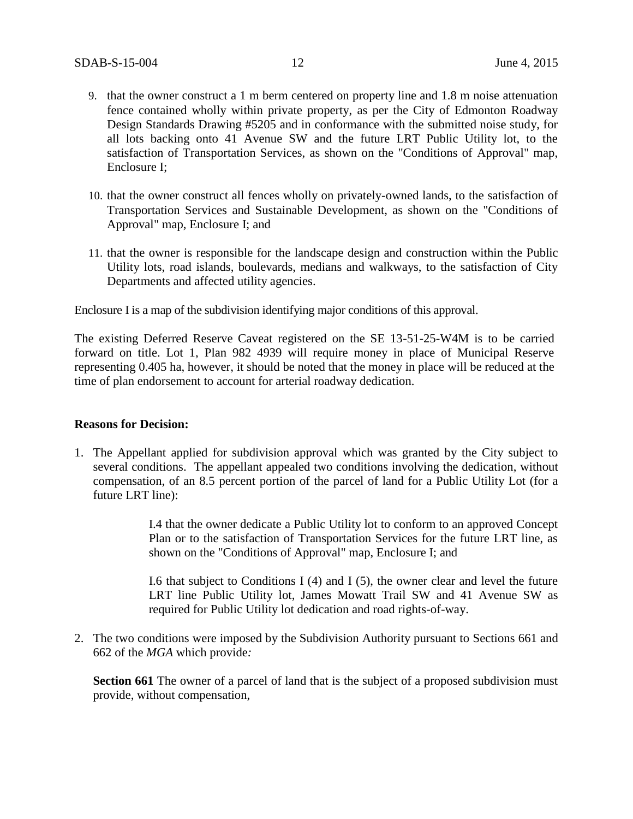- 9. that the owner construct a 1 m berm centered on property line and 1.8 m noise attenuation fence contained wholly within private property, as per the City of Edmonton Roadway Design Standards Drawing #5205 and in conformance with the submitted noise study, for all lots backing onto 41 Avenue SW and the future LRT Public Utility lot, to the satisfaction of Transportation Services, as shown on the "Conditions of Approval" map, Enclosure I;
- 10. that the owner construct all fences wholly on privately-owned lands, to the satisfaction of Transportation Services and Sustainable Development, as shown on the "Conditions of Approval" map, Enclosure I; and
- 11. that the owner is responsible for the landscape design and construction within the Public Utility lots, road islands, boulevards, medians and walkways, to the satisfaction of City Departments and affected utility agencies.

Enclosure I is a map of the subdivision identifying major conditions of this approval.

The existing Deferred Reserve Caveat registered on the SE 13-51-25-W4M is to be carried forward on title. Lot 1, Plan 982 4939 will require money in place of Municipal Reserve representing 0.405 ha, however, it should be noted that the money in place will be reduced at the time of plan endorsement to account for arterial roadway dedication.

#### **Reasons for Decision:**

1. The Appellant applied for subdivision approval which was granted by the City subject to several conditions. The appellant appealed two conditions involving the dedication, without compensation, of an 8.5 percent portion of the parcel of land for a Public Utility Lot (for a future LRT line):

> I.4 that the owner dedicate a Public Utility lot to conform to an approved Concept Plan or to the satisfaction of Transportation Services for the future LRT line, as shown on the "Conditions of Approval" map, Enclosure I; and

> I.6 that subject to Conditions I  $(4)$  and I  $(5)$ , the owner clear and level the future LRT line Public Utility lot, James Mowatt Trail SW and 41 Avenue SW as required for Public Utility lot dedication and road rights-of-way.

2. The two conditions were imposed by the Subdivision Authority pursuant to Sections 661 and 662 of the *MGA* which provide*:*

Section 661 The owner of a parcel of land that is the subject of a proposed subdivision must provide, without compensation,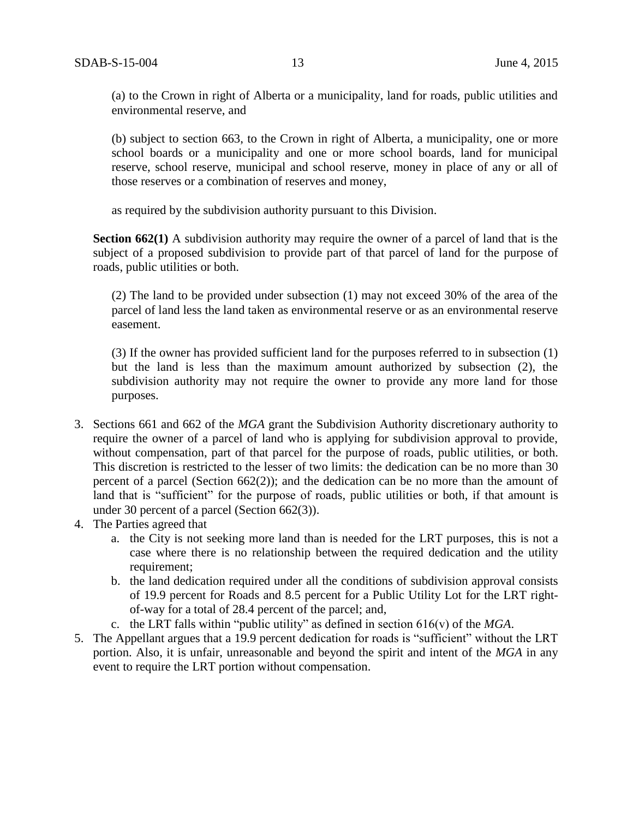(a) to the Crown in right of Alberta or a municipality, land for roads, public utilities and environmental reserve, and

(b) subject to section 663, to the Crown in right of Alberta, a municipality, one or more school boards or a municipality and one or more school boards, land for municipal reserve, school reserve, municipal and school reserve, money in place of any or all of those reserves or a combination of reserves and money,

as required by the subdivision authority pursuant to this Division.

**Section 662(1)** A subdivision authority may require the owner of a parcel of land that is the subject of a proposed subdivision to provide part of that parcel of land for the purpose of roads, public utilities or both.

(2) The land to be provided under subsection (1) may not exceed 30% of the area of the parcel of land less the land taken as environmental reserve or as an environmental reserve easement.

(3) If the owner has provided sufficient land for the purposes referred to in subsection (1) but the land is less than the maximum amount authorized by subsection (2), the subdivision authority may not require the owner to provide any more land for those purposes.

- 3. Sections 661 and 662 of the *MGA* grant the Subdivision Authority discretionary authority to require the owner of a parcel of land who is applying for subdivision approval to provide, without compensation, part of that parcel for the purpose of roads, public utilities, or both. This discretion is restricted to the lesser of two limits: the dedication can be no more than 30 percent of a parcel (Section 662(2)); and the dedication can be no more than the amount of land that is "sufficient" for the purpose of roads, public utilities or both, if that amount is under 30 percent of a parcel (Section 662(3)).
- 4. The Parties agreed that
	- a. the City is not seeking more land than is needed for the LRT purposes, this is not a case where there is no relationship between the required dedication and the utility requirement;
	- b. the land dedication required under all the conditions of subdivision approval consists of 19.9 percent for Roads and 8.5 percent for a Public Utility Lot for the LRT rightof-way for a total of 28.4 percent of the parcel; and,
	- c. the LRT falls within "public utility" as defined in section 616(v) of the *MGA*.
- 5. The Appellant argues that a 19.9 percent dedication for roads is "sufficient" without the LRT portion. Also, it is unfair, unreasonable and beyond the spirit and intent of the *MGA* in any event to require the LRT portion without compensation.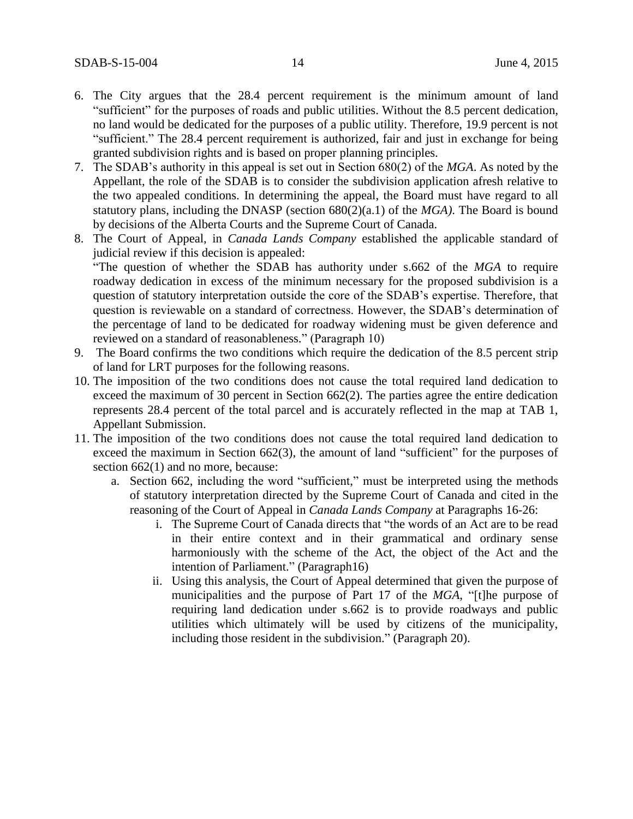- 6. The City argues that the 28.4 percent requirement is the minimum amount of land "sufficient" for the purposes of roads and public utilities. Without the 8.5 percent dedication, no land would be dedicated for the purposes of a public utility. Therefore, 19.9 percent is not "sufficient." The 28.4 percent requirement is authorized, fair and just in exchange for being granted subdivision rights and is based on proper planning principles.
- 7. The SDAB's authority in this appeal is set out in Section 680(2) of the *MGA*. As noted by the Appellant, the role of the SDAB is to consider the subdivision application afresh relative to the two appealed conditions. In determining the appeal, the Board must have regard to all statutory plans, including the DNASP (section 680(2)(a.1) of the *MGA)*. The Board is bound by decisions of the Alberta Courts and the Supreme Court of Canada.
- 8. The Court of Appeal, in *Canada Lands Company* established the applicable standard of judicial review if this decision is appealed: "The question of whether the SDAB has authority under s.662 of the *MGA* to require roadway dedication in excess of the minimum necessary for the proposed subdivision is a question of statutory interpretation outside the core of the SDAB's expertise. Therefore, that question is reviewable on a standard of correctness. However, the SDAB's determination of the percentage of land to be dedicated for roadway widening must be given deference and reviewed on a standard of reasonableness." (Paragraph 10)
- 9. The Board confirms the two conditions which require the dedication of the 8.5 percent strip of land for LRT purposes for the following reasons.
- 10. The imposition of the two conditions does not cause the total required land dedication to exceed the maximum of 30 percent in Section 662(2). The parties agree the entire dedication represents 28.4 percent of the total parcel and is accurately reflected in the map at TAB 1, Appellant Submission.
- 11. The imposition of the two conditions does not cause the total required land dedication to exceed the maximum in Section 662(3), the amount of land "sufficient" for the purposes of section 662(1) and no more, because:
	- a. Section 662, including the word "sufficient," must be interpreted using the methods of statutory interpretation directed by the Supreme Court of Canada and cited in the reasoning of the Court of Appeal in *Canada Lands Company* at Paragraphs 16-26:
		- i. The Supreme Court of Canada directs that "the words of an Act are to be read in their entire context and in their grammatical and ordinary sense harmoniously with the scheme of the Act, the object of the Act and the intention of Parliament." (Paragraph16)
		- ii. Using this analysis, the Court of Appeal determined that given the purpose of municipalities and the purpose of Part 17 of the *MGA*, "[t]he purpose of requiring land dedication under s.662 is to provide roadways and public utilities which ultimately will be used by citizens of the municipality, including those resident in the subdivision." (Paragraph 20).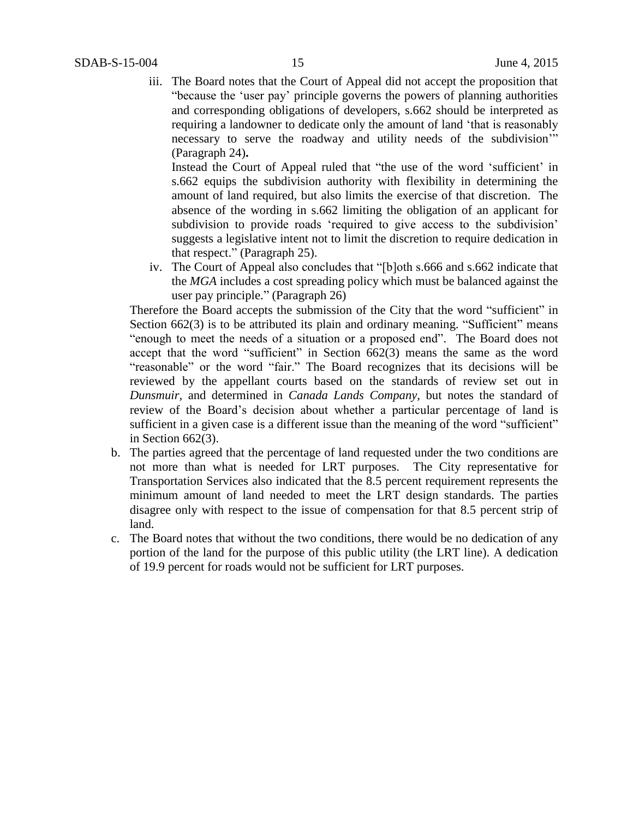iii. The Board notes that the Court of Appeal did not accept the proposition that "because the 'user pay' principle governs the powers of planning authorities and corresponding obligations of developers, s.662 should be interpreted as requiring a landowner to dedicate only the amount of land 'that is reasonably necessary to serve the roadway and utility needs of the subdivision'" (Paragraph 24)**.** 

Instead the Court of Appeal ruled that "the use of the word 'sufficient' in s.662 equips the subdivision authority with flexibility in determining the amount of land required, but also limits the exercise of that discretion. The absence of the wording in s.662 limiting the obligation of an applicant for subdivision to provide roads 'required to give access to the subdivision' suggests a legislative intent not to limit the discretion to require dedication in that respect." (Paragraph 25).

iv. The Court of Appeal also concludes that "[b]oth s.666 and s.662 indicate that the *MGA* includes a cost spreading policy which must be balanced against the user pay principle." (Paragraph 26)

Therefore the Board accepts the submission of the City that the word "sufficient" in Section 662(3) is to be attributed its plain and ordinary meaning. "Sufficient" means "enough to meet the needs of a situation or a proposed end". The Board does not accept that the word "sufficient" in Section 662(3) means the same as the word "reasonable" or the word "fair." The Board recognizes that its decisions will be reviewed by the appellant courts based on the standards of review set out in *Dunsmuir,* and determined in *Canada Lands Company,* but notes the standard of review of the Board's decision about whether a particular percentage of land is sufficient in a given case is a different issue than the meaning of the word "sufficient" in Section 662(3).

- b. The parties agreed that the percentage of land requested under the two conditions are not more than what is needed for LRT purposes. The City representative for Transportation Services also indicated that the 8.5 percent requirement represents the minimum amount of land needed to meet the LRT design standards. The parties disagree only with respect to the issue of compensation for that 8.5 percent strip of land.
- c. The Board notes that without the two conditions, there would be no dedication of any portion of the land for the purpose of this public utility (the LRT line). A dedication of 19.9 percent for roads would not be sufficient for LRT purposes.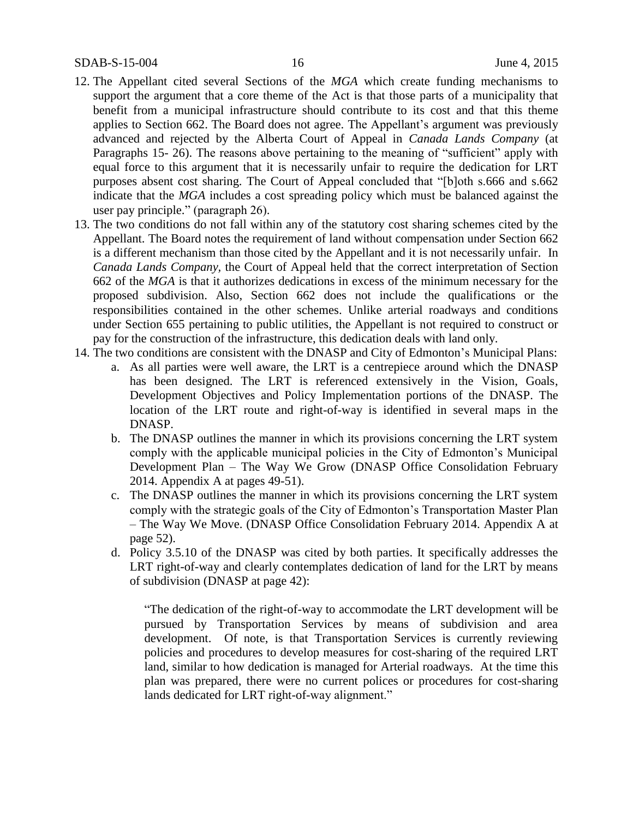- 12. The Appellant cited several Sections of the *MGA* which create funding mechanisms to support the argument that a core theme of the Act is that those parts of a municipality that benefit from a municipal infrastructure should contribute to its cost and that this theme applies to Section 662. The Board does not agree. The Appellant's argument was previously advanced and rejected by the Alberta Court of Appeal in *Canada Lands Company* (at Paragraphs 15- 26). The reasons above pertaining to the meaning of "sufficient" apply with equal force to this argument that it is necessarily unfair to require the dedication for LRT purposes absent cost sharing. The Court of Appeal concluded that "[b]oth s.666 and s.662 indicate that the *MGA* includes a cost spreading policy which must be balanced against the user pay principle." (paragraph 26).
- 13. The two conditions do not fall within any of the statutory cost sharing schemes cited by the Appellant. The Board notes the requirement of land without compensation under Section 662 is a different mechanism than those cited by the Appellant and it is not necessarily unfair. In *Canada Lands Company,* the Court of Appeal held that the correct interpretation of Section 662 of the *MGA* is that it authorizes dedications in excess of the minimum necessary for the proposed subdivision. Also, Section 662 does not include the qualifications or the responsibilities contained in the other schemes. Unlike arterial roadways and conditions under Section 655 pertaining to public utilities, the Appellant is not required to construct or pay for the construction of the infrastructure, this dedication deals with land only.
- 14. The two conditions are consistent with the DNASP and City of Edmonton's Municipal Plans:
	- a. As all parties were well aware, the LRT is a centrepiece around which the DNASP has been designed. The LRT is referenced extensively in the Vision, Goals, Development Objectives and Policy Implementation portions of the DNASP. The location of the LRT route and right-of-way is identified in several maps in the DNASP.
	- b. The DNASP outlines the manner in which its provisions concerning the LRT system comply with the applicable municipal policies in the City of Edmonton's Municipal Development Plan – The Way We Grow (DNASP Office Consolidation February 2014. Appendix A at pages 49-51).
	- c. The DNASP outlines the manner in which its provisions concerning the LRT system comply with the strategic goals of the City of Edmonton's Transportation Master Plan – The Way We Move. (DNASP Office Consolidation February 2014. Appendix A at page 52).
	- d. Policy 3.5.10 of the DNASP was cited by both parties. It specifically addresses the LRT right-of-way and clearly contemplates dedication of land for the LRT by means of subdivision (DNASP at page 42):

"The dedication of the right-of-way to accommodate the LRT development will be pursued by Transportation Services by means of subdivision and area development. Of note, is that Transportation Services is currently reviewing policies and procedures to develop measures for cost-sharing of the required LRT land, similar to how dedication is managed for Arterial roadways. At the time this plan was prepared, there were no current polices or procedures for cost-sharing lands dedicated for LRT right-of-way alignment."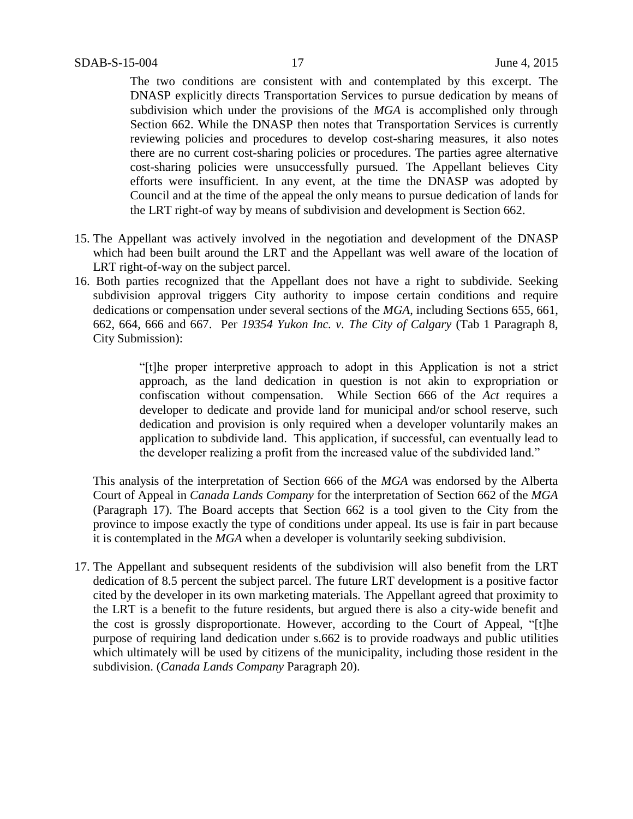The two conditions are consistent with and contemplated by this excerpt. The DNASP explicitly directs Transportation Services to pursue dedication by means of subdivision which under the provisions of the *MGA* is accomplished only through Section 662. While the DNASP then notes that Transportation Services is currently reviewing policies and procedures to develop cost-sharing measures, it also notes there are no current cost-sharing policies or procedures. The parties agree alternative cost-sharing policies were unsuccessfully pursued. The Appellant believes City efforts were insufficient. In any event, at the time the DNASP was adopted by Council and at the time of the appeal the only means to pursue dedication of lands for the LRT right-of way by means of subdivision and development is Section 662.

- 15. The Appellant was actively involved in the negotiation and development of the DNASP which had been built around the LRT and the Appellant was well aware of the location of LRT right-of-way on the subject parcel.
- 16. Both parties recognized that the Appellant does not have a right to subdivide. Seeking subdivision approval triggers City authority to impose certain conditions and require dedications or compensation under several sections of the *MGA*, including Sections 655, 661, 662, 664, 666 and 667. Per *19354 Yukon Inc. v. The City of Calgary* (Tab 1 Paragraph 8, City Submission):

"[t]he proper interpretive approach to adopt in this Application is not a strict approach, as the land dedication in question is not akin to expropriation or confiscation without compensation. While Section 666 of the *Act* requires a developer to dedicate and provide land for municipal and/or school reserve, such dedication and provision is only required when a developer voluntarily makes an application to subdivide land. This application, if successful, can eventually lead to the developer realizing a profit from the increased value of the subdivided land."

This analysis of the interpretation of Section 666 of the *MGA* was endorsed by the Alberta Court of Appeal in *Canada Lands Company* for the interpretation of Section 662 of the *MGA* (Paragraph 17). The Board accepts that Section 662 is a tool given to the City from the province to impose exactly the type of conditions under appeal. Its use is fair in part because it is contemplated in the *MGA* when a developer is voluntarily seeking subdivision.

17. The Appellant and subsequent residents of the subdivision will also benefit from the LRT dedication of 8.5 percent the subject parcel. The future LRT development is a positive factor cited by the developer in its own marketing materials. The Appellant agreed that proximity to the LRT is a benefit to the future residents, but argued there is also a city-wide benefit and the cost is grossly disproportionate. However, according to the Court of Appeal, "[t]he purpose of requiring land dedication under s.662 is to provide roadways and public utilities which ultimately will be used by citizens of the municipality, including those resident in the subdivision. (*Canada Lands Company* Paragraph 20).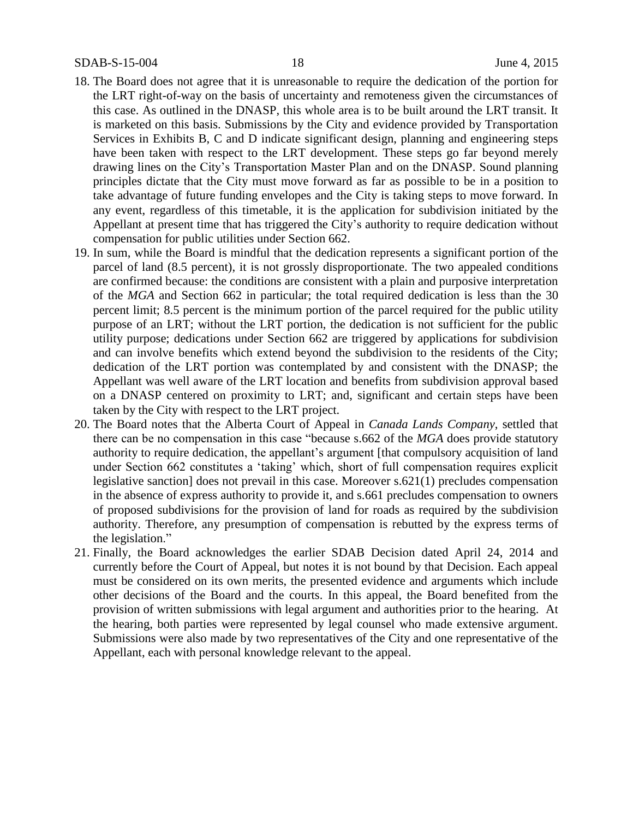- 18. The Board does not agree that it is unreasonable to require the dedication of the portion for the LRT right-of-way on the basis of uncertainty and remoteness given the circumstances of this case. As outlined in the DNASP, this whole area is to be built around the LRT transit. It is marketed on this basis. Submissions by the City and evidence provided by Transportation Services in Exhibits B, C and D indicate significant design, planning and engineering steps have been taken with respect to the LRT development. These steps go far beyond merely drawing lines on the City's Transportation Master Plan and on the DNASP. Sound planning principles dictate that the City must move forward as far as possible to be in a position to take advantage of future funding envelopes and the City is taking steps to move forward. In any event, regardless of this timetable, it is the application for subdivision initiated by the Appellant at present time that has triggered the City's authority to require dedication without compensation for public utilities under Section 662.
- 19. In sum, while the Board is mindful that the dedication represents a significant portion of the parcel of land (8.5 percent), it is not grossly disproportionate. The two appealed conditions are confirmed because: the conditions are consistent with a plain and purposive interpretation of the *MGA* and Section 662 in particular; the total required dedication is less than the 30 percent limit; 8.5 percent is the minimum portion of the parcel required for the public utility purpose of an LRT; without the LRT portion, the dedication is not sufficient for the public utility purpose; dedications under Section 662 are triggered by applications for subdivision and can involve benefits which extend beyond the subdivision to the residents of the City; dedication of the LRT portion was contemplated by and consistent with the DNASP; the Appellant was well aware of the LRT location and benefits from subdivision approval based on a DNASP centered on proximity to LRT; and, significant and certain steps have been taken by the City with respect to the LRT project.
- 20. The Board notes that the Alberta Court of Appeal in *Canada Lands Company*, settled that there can be no compensation in this case "because s.662 of the *MGA* does provide statutory authority to require dedication, the appellant's argument [that compulsory acquisition of land under Section 662 constitutes a 'taking' which, short of full compensation requires explicit legislative sanction] does not prevail in this case. Moreover s.621(1) precludes compensation in the absence of express authority to provide it, and s.661 precludes compensation to owners of proposed subdivisions for the provision of land for roads as required by the subdivision authority. Therefore, any presumption of compensation is rebutted by the express terms of the legislation."
- 21. Finally, the Board acknowledges the earlier SDAB Decision dated April 24, 2014 and currently before the Court of Appeal, but notes it is not bound by that Decision. Each appeal must be considered on its own merits, the presented evidence and arguments which include other decisions of the Board and the courts. In this appeal, the Board benefited from the provision of written submissions with legal argument and authorities prior to the hearing. At the hearing, both parties were represented by legal counsel who made extensive argument. Submissions were also made by two representatives of the City and one representative of the Appellant, each with personal knowledge relevant to the appeal.